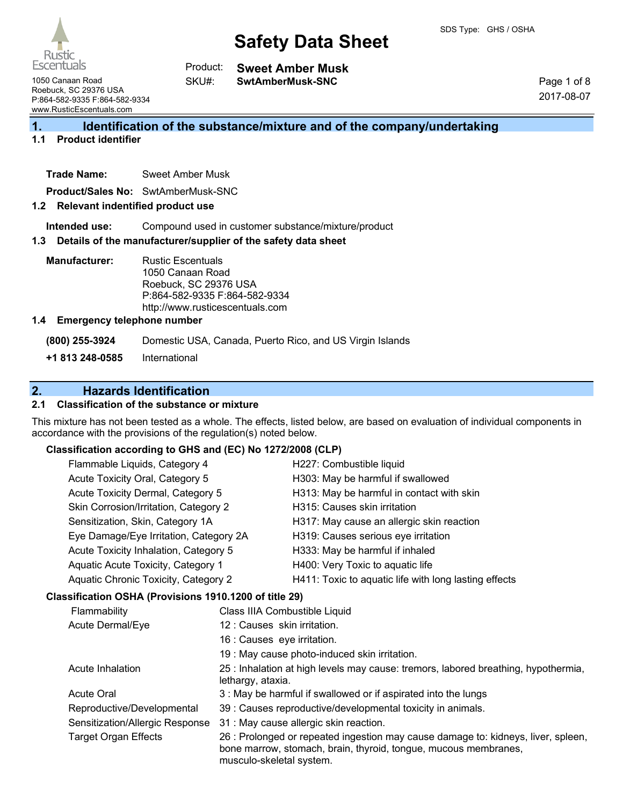| <b>Rustic</b><br>Escentuals |  |
|-----------------------------|--|

**Sweet Amber Musk SwtAmberMusk-SNC** Product: SKU#:

1050 Canaan Road Roebuck, SC 29376 USA P:864-582-9335 F:864-582-9334 www.RusticEscentuals.com

Page 1 of 8 2017-08-07

# **1. Identification of the substance/mixture and of the company/undertaking**

### **1.1 Product identifier**

**Trade Name:** Sweet Amber Musk

**Product/Sales No:** SwtAmberMusk-SNC

#### **1.2 Relevant indentified product use**

**Intended use:** Compound used in customer substance/mixture/product

#### **1.3 Details of the manufacturer/supplier of the safety data sheet**

**Manufacturer:** Rustic Escentuals 1050 Canaan Road Roebuck, SC 29376 USA P:864-582-9335 F:864-582-9334 http://www.rusticescentuals.com

#### **1.4 Emergency telephone number**

**(800) 255-3924** Domestic USA, Canada, Puerto Rico, and US Virgin Islands

**+1 813 248-0585** International

# **2. Hazards Identification**

## **2.1 Classification of the substance or mixture**

This mixture has not been tested as a whole. The effects, listed below, are based on evaluation of individual components in accordance with the provisions of the regulation(s) noted below.

### **Classification according to GHS and (EC) No 1272/2008 (CLP)**

|  | Flammable Liquids, Category 4                                               |                               | H227: Combustible liquid                              |
|--|-----------------------------------------------------------------------------|-------------------------------|-------------------------------------------------------|
|  | Acute Toxicity Oral, Category 5                                             |                               | H303: May be harmful if swallowed                     |
|  | Acute Toxicity Dermal, Category 5                                           |                               | H313: May be harmful in contact with skin             |
|  | Skin Corrosion/Irritation, Category 2                                       |                               | H315: Causes skin irritation                          |
|  | Sensitization, Skin, Category 1A                                            |                               | H317: May cause an allergic skin reaction             |
|  | Eye Damage/Eye Irritation, Category 2A                                      |                               | H319: Causes serious eye irritation                   |
|  | Acute Toxicity Inhalation, Category 5<br>Aquatic Acute Toxicity, Category 1 |                               | H333: May be harmful if inhaled                       |
|  |                                                                             |                               | H400: Very Toxic to aquatic life                      |
|  | Aquatic Chronic Toxicity, Category 2                                        |                               | H411: Toxic to aquatic life with long lasting effects |
|  | Classification OSHA (Provisions 1910.1200 of title 29)                      |                               |                                                       |
|  | Flammability                                                                | Class IIIA Combustible Liquid |                                                       |
|  | Acute Dermal/Eye                                                            | 12 : Causes skin irritation.  |                                                       |
|  |                                                                             | 16 : Causes eye irritation.   |                                                       |

Acute Inhalation 25 : Inhalation at high levels may cause: tremors, labored breathing, hypothermia, lethargy, ataxia.

- Acute Oral 3 : May be harmful if swallowed or if aspirated into the lungs
- Reproductive/Developmental 39 : Causes reproductive/developmental toxicity in animals.

19 : May cause photo-induced skin irritation.

Sensitization/Allergic Response 31 : May cause allergic skin reaction.

Target Organ Effects 26 : Prolonged or repeated ingestion may cause damage to: kidneys, liver, spleen, bone marrow, stomach, brain, thyroid, tongue, mucous membranes, musculo-skeletal system.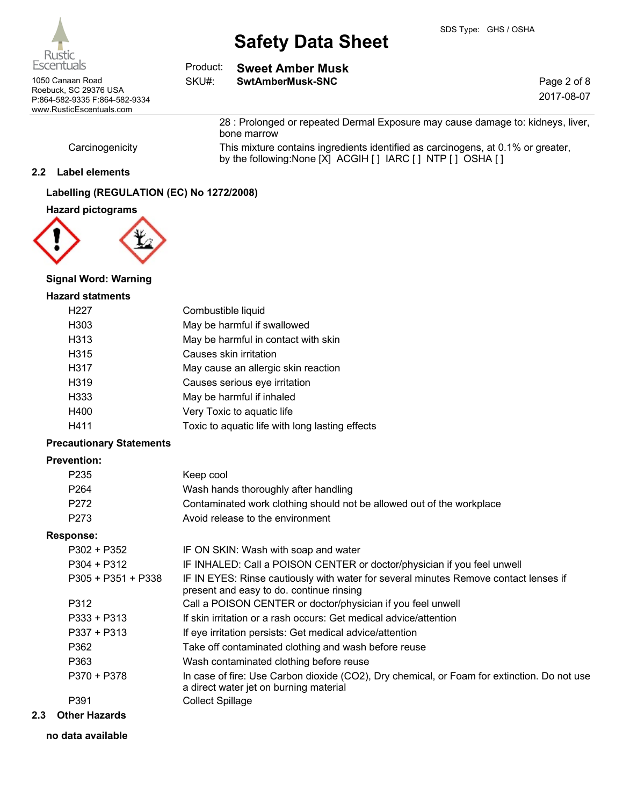

| Escentuals                                | Product: | Sweet Amber Musk |             |
|-------------------------------------------|----------|------------------|-------------|
| 1050 Canaan Road<br>Roebuck, SC 29376 USA | SKU#:    | SwtAmberMusk-SNC | Page 2 of 8 |
| P:864-582-9335 F:864-582-9334             |          |                  | 2017-08-07  |
| www.RusticEscentuals.com                  |          |                  |             |

by the following:None [X] ACGIH [] IARC [] NTP [] OSHA []

28 : Prolonged or repeated Dermal Exposure may cause damage to: kidneys, liver,

Carcinogenicity This mixture contains ingredients identified as carcinogens, at 0.1% or greater,

#### **2.2 Label elements**

## **Labelling (REGULATION (EC) No 1272/2008)**

#### **Hazard pictograms**



### **Signal Word: Warning**

## **Hazard statments**

| H <sub>227</sub>  | Combustible liquid                              |
|-------------------|-------------------------------------------------|
| H <sub>303</sub>  | May be harmful if swallowed                     |
| H313              | May be harmful in contact with skin             |
| H <sub>3</sub> 15 | Causes skin irritation                          |
| H317              | May cause an allergic skin reaction             |
| H <sub>319</sub>  | Causes serious eye irritation                   |
| H333              | May be harmful if inhaled                       |
| H400              | Very Toxic to aquatic life                      |
| H411              | Toxic to aquatic life with long lasting effects |
|                   |                                                 |

bone marrow

#### **Precautionary Statements**

## **Prevention:**

| P235             | Keep cool                                                             |
|------------------|-----------------------------------------------------------------------|
| P <sub>264</sub> | Wash hands thoroughly after handling                                  |
| P272             | Contaminated work clothing should not be allowed out of the workplace |
| P273             | Avoid release to the environment                                      |

#### **Response:**

| P302 + P352        | IF ON SKIN: Wash with soap and water                                                                                                  |
|--------------------|---------------------------------------------------------------------------------------------------------------------------------------|
| P304 + P312        | IF INHALED: Call a POISON CENTER or doctor/physician if you feel unwell                                                               |
| P305 + P351 + P338 | IF IN EYES: Rinse cautiously with water for several minutes Remove contact lenses if<br>present and easy to do. continue rinsing      |
| P312               | Call a POISON CENTER or doctor/physician if you feel unwell                                                                           |
| P333 + P313        | If skin irritation or a rash occurs: Get medical advice/attention                                                                     |
| P337 + P313        | If eye irritation persists: Get medical advice/attention                                                                              |
| P362               | Take off contaminated clothing and wash before reuse                                                                                  |
| P363               | Wash contaminated clothing before reuse                                                                                               |
| P370 + P378        | In case of fire: Use Carbon dioxide (CO2), Dry chemical, or Foam for extinction. Do not use<br>a direct water jet on burning material |
| P391               | <b>Collect Spillage</b>                                                                                                               |
|                    |                                                                                                                                       |

## **2.3 Other Hazards**

#### **no data available**

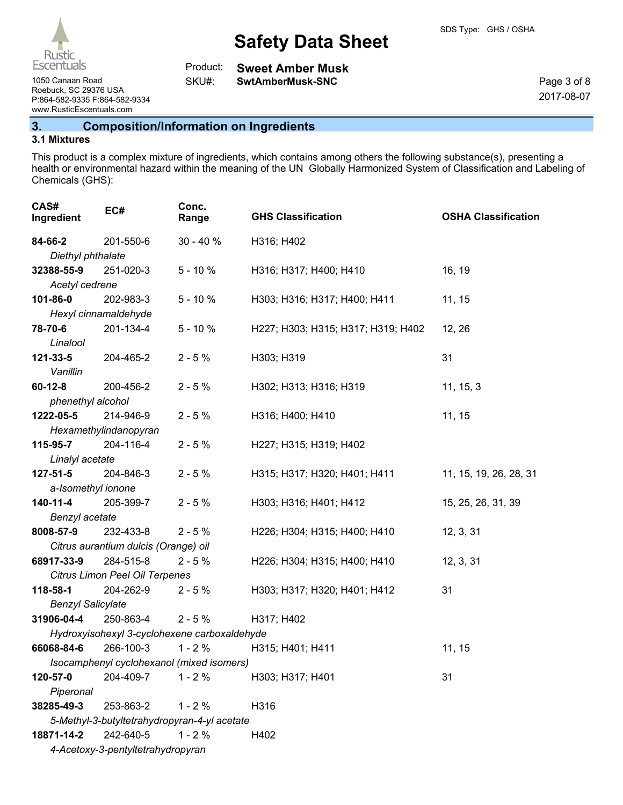

1050 Canaan Road **SwtAmberMusk-SNC**

**Sweet Amber Musk** Product:

SKU#:

Page 3 of 8 2017-08-07

Roebuck, SC 29376 USA P:864-582-9335 F:864-582-9334 www.RusticEscentuals.com

# **3. Composition/Information on Ingredients**

## **3.1 Mixtures**

This product is a complex mixture of ingredients, which contains among others the following substance(s), presenting a health or environmental hazard within the meaning of the UN Globally Harmonized System of Classification and Labeling of Chemicals (GHS):

| CAS#<br>Ingredient       | EC#                                  | Conc.<br>Range                               | <b>GHS Classification</b>          | <b>OSHA Classification</b> |
|--------------------------|--------------------------------------|----------------------------------------------|------------------------------------|----------------------------|
| 84-66-2                  | 201-550-6                            | $30 - 40%$                                   | H316; H402                         |                            |
| Diethyl phthalate        |                                      |                                              |                                    |                            |
| 32388-55-9               | 251-020-3                            | $5 - 10%$                                    | H316; H317; H400; H410             | 16, 19                     |
| Acetyl cedrene           |                                      |                                              |                                    |                            |
| 101-86-0                 | 202-983-3                            | $5 - 10%$                                    | H303; H316; H317; H400; H411       | 11, 15                     |
|                          | Hexyl cinnamaldehyde                 |                                              |                                    |                            |
| 78-70-6                  | 201-134-4                            | $5 - 10%$                                    | H227; H303; H315; H317; H319; H402 | 12, 26                     |
| Linalool                 |                                      |                                              |                                    |                            |
| 121-33-5<br>Vanillin     | 204-465-2                            | $2 - 5%$                                     | H303; H319                         | 31                         |
| $60 - 12 - 8$            | 200-456-2                            | $2 - 5%$                                     | H302; H313; H316; H319             | 11, 15, 3                  |
| phenethyl alcohol        |                                      |                                              |                                    |                            |
| 1222-05-5                | 214-946-9                            | $2 - 5%$                                     | H316; H400; H410                   | 11, 15                     |
|                          | Hexamethylindanopyran                |                                              |                                    |                            |
| 115-95-7                 | 204-116-4                            | $2 - 5%$                                     | H227; H315; H319; H402             |                            |
| Linalyl acetate          |                                      |                                              |                                    |                            |
| $127 - 51 - 5$           | 204-846-3                            | $2 - 5%$                                     | H315; H317; H320; H401; H411       | 11, 15, 19, 26, 28, 31     |
| a-Isomethyl ionone       |                                      |                                              |                                    |                            |
| 140-11-4                 | 205-399-7                            | $2 - 5%$                                     | H303; H316; H401; H412             | 15, 25, 26, 31, 39         |
| Benzyl acetate           |                                      |                                              |                                    |                            |
| 8008-57-9                | 232-433-8                            | $2 - 5%$                                     | H226; H304; H315; H400; H410       | 12, 3, 31                  |
|                          | Citrus aurantium dulcis (Orange) oil |                                              |                                    |                            |
| 68917-33-9               | 284-515-8                            | $2 - 5%$                                     | H226; H304; H315; H400; H410       | 12, 3, 31                  |
|                          | Citrus Limon Peel Oil Terpenes       |                                              |                                    |                            |
| 118-58-1                 | 204-262-9                            | $2 - 5%$                                     | H303; H317; H320; H401; H412       | 31                         |
| <b>Benzyl Salicylate</b> |                                      |                                              |                                    |                            |
| 31906-04-4               | 250-863-4                            | $2 - 5%$                                     | H317; H402                         |                            |
|                          |                                      | Hydroxyisohexyl 3-cyclohexene carboxaldehyde |                                    |                            |
| 66068-84-6               | 266-100-3                            | $1 - 2%$                                     | H315; H401; H411                   | 11, 15                     |
|                          |                                      | Isocamphenyl cyclohexanol (mixed isomers)    |                                    |                            |
| 120-57-0                 | 204-409-7                            | $1 - 2%$                                     | H303; H317; H401                   | 31                         |
| Piperonal                |                                      |                                              |                                    |                            |
| 38285-49-3               | 253-863-2                            | $1 - 2%$                                     | H316                               |                            |
|                          |                                      | 5-Methyl-3-butyltetrahydropyran-4-yl acetate |                                    |                            |
| 18871-14-2               | 242-640-5                            | $1 - 2%$                                     | H402                               |                            |
|                          | 4-Acetoxy-3-pentyltetrahydropyran    |                                              |                                    |                            |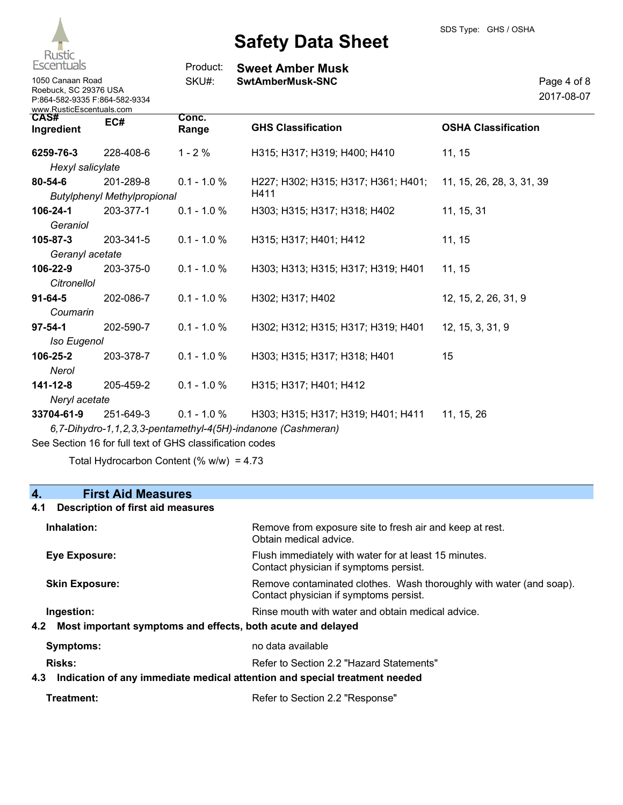

**Sweet Amber Musk** 1050 Canaan Road **SwtAmberMusk-SNC**

| Page 4 of 8 |
|-------------|
| 2017-08-07  |
|             |

| 1050 Canaan Road              |
|-------------------------------|
| Roebuck, SC 29376 USA         |
| P:864-582-9335 F:864-582-9334 |
| www.RusticEscentuals.com      |

| CAS#<br>Ingredient                                       | EC#                                | Conc.<br>Range | <b>GHS Classification</b>                                     | <b>OSHA Classification</b> |
|----------------------------------------------------------|------------------------------------|----------------|---------------------------------------------------------------|----------------------------|
| 6259-76-3                                                | 228-408-6                          | $1 - 2%$       | H315; H317; H319; H400; H410                                  | 11, 15                     |
| Hexyl salicylate                                         |                                    |                |                                                               |                            |
| 80-54-6                                                  | 201-289-8                          | $0.1 - 1.0 %$  | H227; H302; H315; H317; H361; H401; 11, 15, 26, 28, 3, 31, 39 |                            |
|                                                          | <b>Butylphenyl Methylpropional</b> |                | H411                                                          |                            |
| 106-24-1                                                 | 203-377-1                          | $0.1 - 1.0 %$  | H303; H315; H317; H318; H402                                  | 11, 15, 31                 |
| Geraniol                                                 |                                    |                |                                                               |                            |
| $105 - 87 - 3$                                           | 203-341-5                          | $0.1 - 1.0 %$  | H315; H317; H401; H412                                        | 11, 15                     |
| Geranyl acetate                                          |                                    |                |                                                               |                            |
| 106-22-9                                                 | 203-375-0                          | $0.1 - 1.0 \%$ | H303; H313; H315; H317; H319; H401                            | 11, 15                     |
| Citronellol                                              |                                    |                |                                                               |                            |
| $91 - 64 - 5$                                            | 202-086-7                          | $0.1 - 1.0 %$  | H302; H317; H402                                              | 12, 15, 2, 26, 31, 9       |
| Coumarin                                                 |                                    |                |                                                               |                            |
| $97 - 54 - 1$                                            | 202-590-7                          | $0.1 - 1.0 %$  | H302; H312; H315; H317; H319; H401                            | 12, 15, 3, 31, 9           |
| <b>Iso Eugenol</b>                                       |                                    |                |                                                               |                            |
| 106-25-2                                                 | 203-378-7                          | $0.1 - 1.0 %$  | H303; H315; H317; H318; H401                                  | 15                         |
| Nerol                                                    |                                    |                |                                                               |                            |
| 141-12-8                                                 | 205-459-2                          | $0.1 - 1.0 \%$ | H315; H317; H401; H412                                        |                            |
| Neryl acetate                                            |                                    |                |                                                               |                            |
| 33704-61-9                                               | 251-649-3                          | $0.1 - 1.0 \%$ | H303; H315; H317; H319; H401; H411                            | 11, 15, 26                 |
|                                                          |                                    |                | 6,7-Dihydro-1,1,2,3,3-pentamethyl-4(5H)-indanone (Cashmeran)  |                            |
| See Section 16 for full text of GHS classification codes |                                    |                |                                                               |                            |

Total Hydrocarbon Content (%  $w/w$ ) = 4.73

## **4. First Aid Measures 4.1 Description of first aid measures**

Product: SKU#:

# **Inhalation:** Remove from exposure site to fresh air and keep at rest. Obtain medical advice. **Eye Exposure:** Flush immediately with water for at least 15 minutes. Contact physician if symptoms persist. **Skin Exposure:** Remove contaminated clothes. Wash thoroughly with water (and soap). Contact physician if symptoms persist. **Ingestion: Rinse mouth with water and obtain medical advice. Rinse mouth with water and obtain medical advice. 4.2 Most important symptoms and effects, both acute and delayed Symptoms:** no data available **Risks:** Risks: Refer to Section 2.2 "Hazard Statements"

## **4.3 Indication of any immediate medical attention and special treatment needed**

| Treatment: | Refer to Section 2.2 "Response" |
|------------|---------------------------------|
|            |                                 |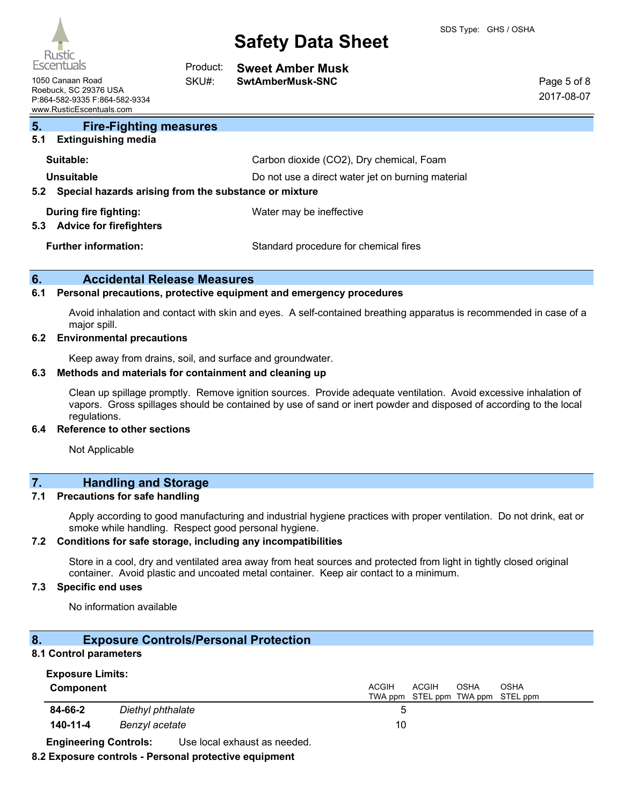

| Escentuals                                                                                             | Product: | <b>Sweet Amber Musk</b>                           |                           |
|--------------------------------------------------------------------------------------------------------|----------|---------------------------------------------------|---------------------------|
| 1050 Canaan Road<br>Roebuck, SC 29376 USA<br>P:864-582-9335 F:864-582-9334<br>www.RusticEscentuals.com | SKU#:    | SwtAmberMusk-SNC                                  | Page 5 of 8<br>2017-08-07 |
| 5.<br><b>Fire-Fighting measures</b>                                                                    |          |                                                   |                           |
| 5.1<br><b>Extinguishing media</b>                                                                      |          |                                                   |                           |
| Suitable:                                                                                              |          | Carbon dioxide (CO2), Dry chemical, Foam          |                           |
| Unsuitable                                                                                             |          | Do not use a direct water jet on burning material |                           |
| 5.2 Special hazards arising from the substance or mixture                                              |          |                                                   |                           |
| During fire fighting:<br>5.3 Advice for firefighters                                                   |          | Water may be ineffective                          |                           |

**Further information:** Standard procedure for chemical fires

### **6. Accidental Release Measures**

#### **6.1 Personal precautions, protective equipment and emergency procedures**

Avoid inhalation and contact with skin and eyes. A self-contained breathing apparatus is recommended in case of a major spill.

#### **6.2 Environmental precautions**

Keep away from drains, soil, and surface and groundwater.

#### **6.3 Methods and materials for containment and cleaning up**

Clean up spillage promptly. Remove ignition sources. Provide adequate ventilation. Avoid excessive inhalation of vapors. Gross spillages should be contained by use of sand or inert powder and disposed of according to the local regulations.

#### **6.4 Reference to other sections**

Not Applicable

# **7. Handling and Storage**

#### **7.1 Precautions for safe handling**

Apply according to good manufacturing and industrial hygiene practices with proper ventilation. Do not drink, eat or smoke while handling. Respect good personal hygiene.

#### **7.2 Conditions for safe storage, including any incompatibilities**

Store in a cool, dry and ventilated area away from heat sources and protected from light in tightly closed original container. Avoid plastic and uncoated metal container. Keep air contact to a minimum.

### **7.3 Specific end uses**

No information available

## **8. Exposure Controls/Personal Protection**

## **8.1 Control parameters**

| <b>Exposure Limits:</b> |                   |                                                                                   |
|-------------------------|-------------------|-----------------------------------------------------------------------------------|
| Component               |                   | <b>ACGIH</b><br><b>ACGIH</b><br>OSHA<br>OSHA<br>TWA ppm STEL ppm TWA ppm STEL ppm |
| 84-66-2                 | Diethyl phthalate |                                                                                   |
| 140-11-4                | Benzyl acetate    | 10                                                                                |

**Engineering Controls:** Use local exhaust as needed.

#### **8.2 Exposure controls - Personal protective equipment**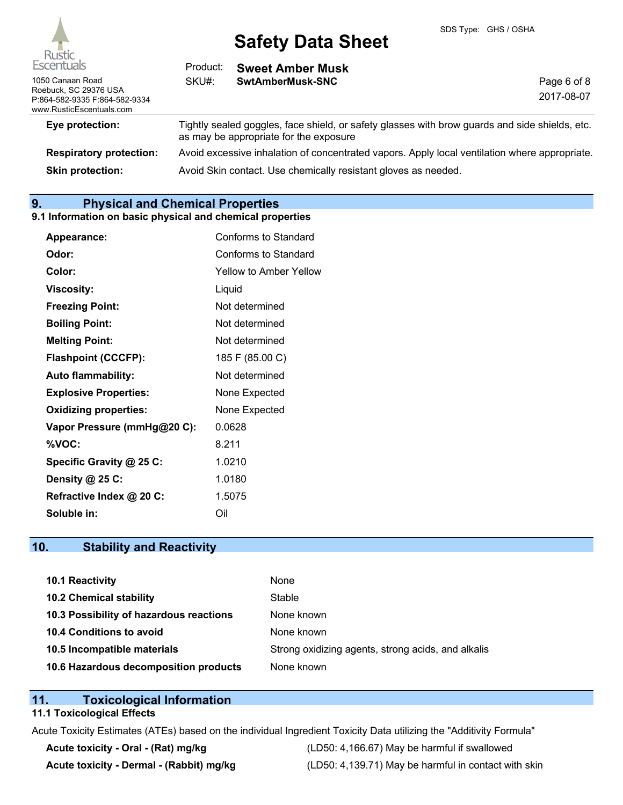

| Escentuals                                                                                             | Product: | <b>Sweet Amber Musk</b>                                                                                                                  |                           |
|--------------------------------------------------------------------------------------------------------|----------|------------------------------------------------------------------------------------------------------------------------------------------|---------------------------|
| 1050 Canaan Road<br>Roebuck, SC 29376 USA<br>P:864-582-9335 F:864-582-9334<br>www.RusticEscentuals.com | SKU#:    | SwtAmberMusk-SNC                                                                                                                         | Page 6 of 8<br>2017-08-07 |
| Eye protection:                                                                                        |          | Tightly sealed goggles, face shield, or safety glasses with brow guards and side shields, etc.<br>as may be appropriate for the exposure |                           |
| <b>Respiratory protection:</b>                                                                         |          | Avoid excessive inhalation of concentrated vapors. Apply local ventilation where appropriate.                                            |                           |
| <b>Skin protection:</b>                                                                                |          | Avoid Skin contact. Use chemically resistant gloves as needed.                                                                           |                           |

# **9. Physical and Chemical Properties**

#### **9.1 Information on basic physical and chemical properties**

| Appearance:                  | Conforms to Standard   |
|------------------------------|------------------------|
| Odor:                        | Conforms to Standard   |
| Color:                       | Yellow to Amber Yellow |
| <b>Viscosity:</b>            | Liquid                 |
| <b>Freezing Point:</b>       | Not determined         |
| <b>Boiling Point:</b>        | Not determined         |
| <b>Melting Point:</b>        | Not determined         |
| <b>Flashpoint (CCCFP):</b>   | 185 F (85.00 C)        |
| <b>Auto flammability:</b>    | Not determined         |
| <b>Explosive Properties:</b> | None Expected          |
| <b>Oxidizing properties:</b> | None Expected          |
| Vapor Pressure (mmHg@20 C):  | 0.0628                 |
| %VOC:                        | 8.211                  |
| Specific Gravity @ 25 C:     | 1.0210                 |
| Density @ 25 C:              | 1.0180                 |
| Refractive Index @ 20 C:     | 1.5075                 |
| Soluble in:                  | Oil                    |

# **10. Stability and Reactivity**

| 10.1 Reactivity                         | None                                               |
|-----------------------------------------|----------------------------------------------------|
| <b>10.2 Chemical stability</b>          | Stable                                             |
| 10.3 Possibility of hazardous reactions | None known                                         |
| <b>10.4 Conditions to avoid</b>         | None known                                         |
| 10.5 Incompatible materials             | Strong oxidizing agents, strong acids, and alkalis |
| 10.6 Hazardous decomposition products   | None known                                         |

# **11. Toxicological Information**

# **11.1 Toxicological Effects**

Acute Toxicity Estimates (ATEs) based on the individual Ingredient Toxicity Data utilizing the "Additivity Formula"

**Acute toxicity - Oral - (Rat) mg/kg** (LD50: 4,166.67) May be harmful if swallowed Acute toxicity - Dermal - (Rabbit) mg/kg <br>
(LD50: 4,139.71) May be harmful in contact with skin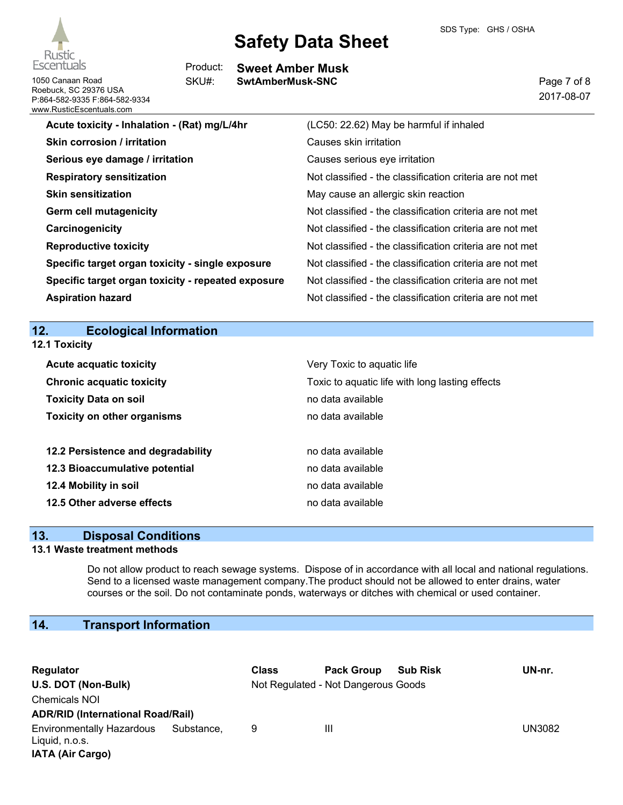



1050 Canaan Road **SwtAmberMusk-SNC** Roebuck, SC 29376 USA P:864-582-9335 F:864-582-9334 www.RusticEscentuals.com

**Sweet Amber Musk** Product: SKU#:

Page 7 of 8 2017-08-07

| Acute toxicity - Inhalation - (Rat) mg/L/4hr       | (LC50: 22.62) May be harmful if inhaled                  |
|----------------------------------------------------|----------------------------------------------------------|
| <b>Skin corrosion / irritation</b>                 | Causes skin irritation                                   |
| Serious eye damage / irritation                    | Causes serious eye irritation                            |
| <b>Respiratory sensitization</b>                   | Not classified - the classification criteria are not met |
| <b>Skin sensitization</b>                          | May cause an allergic skin reaction                      |
| Germ cell mutagenicity                             | Not classified - the classification criteria are not met |
| Carcinogenicity                                    | Not classified - the classification criteria are not met |
| <b>Reproductive toxicity</b>                       | Not classified - the classification criteria are not met |
| Specific target organ toxicity - single exposure   | Not classified - the classification criteria are not met |
| Specific target organ toxicity - repeated exposure | Not classified - the classification criteria are not met |
| <b>Aspiration hazard</b>                           | Not classified - the classification criteria are not met |
|                                                    |                                                          |
| 12.<br><b>Ecological Information</b>               |                                                          |
| 12.1 Toxicity                                      |                                                          |

| <b>Acute acquatic toxicity</b>     | Very Toxic to aquatic life                      |
|------------------------------------|-------------------------------------------------|
| <b>Chronic acquatic toxicity</b>   | Toxic to aquatic life with long lasting effects |
| <b>Toxicity Data on soil</b>       | no data available                               |
| <b>Toxicity on other organisms</b> | no data available                               |
|                                    |                                                 |
| 12.2 Persistence and degradability | no data available                               |
| 12.3 Bioaccumulative potential     | no data available                               |
| 12.4 Mobility in soil              | no data available                               |
| 12.5 Other adverse effects         | no data available                               |

# **13. Disposal Conditions**

# **13.1 Waste treatment methods**

Do not allow product to reach sewage systems. Dispose of in accordance with all local and national regulations. Send to a licensed waste management company.The product should not be allowed to enter drains, water courses or the soil. Do not contaminate ponds, waterways or ditches with chemical or used container.

# **14. Transport Information**

| Regulator                                                                     |            | <b>Class</b> | <b>Pack Group</b>                   | <b>Sub Risk</b> | UN-nr.        |
|-------------------------------------------------------------------------------|------------|--------------|-------------------------------------|-----------------|---------------|
| U.S. DOT (Non-Bulk)                                                           |            |              | Not Regulated - Not Dangerous Goods |                 |               |
| <b>Chemicals NOI</b>                                                          |            |              |                                     |                 |               |
| <b>ADR/RID (International Road/Rail)</b>                                      |            |              |                                     |                 |               |
| <b>Environmentally Hazardous</b><br>Liquid, n.o.s.<br><b>IATA (Air Cargo)</b> | Substance, | 9            | Ш                                   |                 | <b>UN3082</b> |